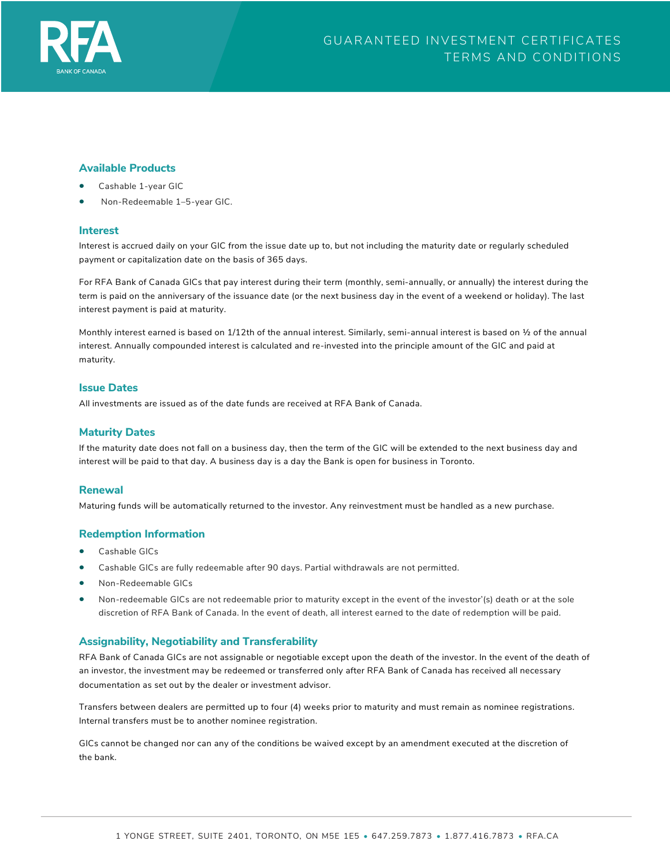

### **Available Products**

- Cashable 1-year GIC
- Non-Redeemable 1–5-year GIC.

#### **Interest**

Interest is accrued daily on your GIC from the issue date up to, but not including the maturity date or regularly scheduled payment or capitalization date on the basis of 365 days.

For RFA Bank of Canada GICs that pay interest during their term (monthly, semi-annually, or annually) the interest during the term is paid on the anniversary of the issuance date (or the next business day in the event of a weekend or holiday). The last interest payment is paid at maturity.

Monthly interest earned is based on 1/12th of the annual interest. Similarly, semi-annual interest is based on ½ of the annual interest. Annually compounded interest is calculated and re-invested into the principle amount of the GIC and paid at maturity.

#### **Issue Dates**

All investments are issued as of the date funds are received at RFA Bank of Canada.

#### **Maturity Dates**

If the maturity date does not fall on a business day, then the term of the GIC will be extended to the next business day and interest will be paid to that day. A business day is a day the Bank is open for business in Toronto.

#### **Renewal**

Maturing funds will be automatically returned to the investor. Any reinvestment must be handled as a new purchase.

#### **Redemption Information**

- Cashable GICs
- Cashable GICs are fully redeemable after 90 days. Partial withdrawals are not permitted.
- Non-Redeemable GICs
- Non-redeemable GICs are not redeemable prior to maturity except in the event of the investor'(s) death or at the sole discretion of RFA Bank of Canada. In the event of death, all interest earned to the date of redemption will be paid.

## **Assignability, Negotiability and Transferability**

RFA Bank of Canada GICs are not assignable or negotiable except upon the death of the investor. In the event of the death of an investor, the investment may be redeemed or transferred only after RFA Bank of Canada has received all necessary documentation as set out by the dealer or investment advisor.

Transfers between dealers are permitted up to four (4) weeks prior to maturity and must remain as nominee registrations. Internal transfers must be to another nominee registration.

GICs cannot be changed nor can any of the conditions be waived except by an amendment executed at the discretion of the bank.